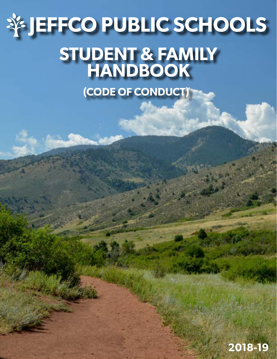# **STUDENT & FAMILY HANDBOOK JEFFCO PUBLIC SCHOOLS**

**(CODE OF CONDUCT)**

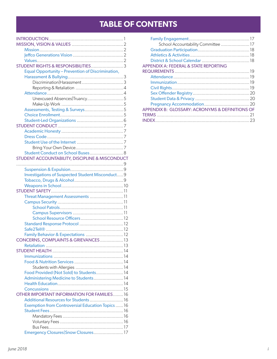# **TABLE OF CONTENTS**

| STUDENT RIGHTS & RESPONSIBILITIES3                |  |
|---------------------------------------------------|--|
| Equal Opportunity - Prevention of Discrimination, |  |
|                                                   |  |
|                                                   |  |
|                                                   |  |
|                                                   |  |
| Unexcused Absences Truancy5                       |  |
|                                                   |  |
|                                                   |  |
|                                                   |  |
|                                                   |  |
|                                                   |  |
|                                                   |  |
|                                                   |  |
|                                                   |  |
|                                                   |  |
|                                                   |  |
| Student Conduct on School Buses 8                 |  |
| STUDENT ACCOUNTABILITY, DISCIPLINE & MISCONDUCT   |  |
|                                                   |  |
|                                                   |  |
| Investigations of Suspected Student Misconduct 9  |  |
|                                                   |  |
|                                                   |  |
|                                                   |  |
| Threat Management Assessments  11                 |  |
|                                                   |  |
|                                                   |  |
|                                                   |  |
|                                                   |  |
|                                                   |  |
|                                                   |  |
|                                                   |  |
| CONCERNS, COMPLAINTS & GRIEVANCES 13              |  |
|                                                   |  |
|                                                   |  |
|                                                   |  |
|                                                   |  |
|                                                   |  |
| Food Provided (Not Sold) to Students 14           |  |
| Administering Medicine to Students 14             |  |
|                                                   |  |
|                                                   |  |
| OTHER IMPORTANT INFORMATION FOR FAMILIES16        |  |
| Additional Resources for Students 16              |  |
| Exemption from Controversial Education Topics  16 |  |
|                                                   |  |
|                                                   |  |
|                                                   |  |
|                                                   |  |
|                                                   |  |
| Emergency Closures Snow Closures17                |  |

| School Accountability Committee 17              |  |
|-------------------------------------------------|--|
|                                                 |  |
|                                                 |  |
|                                                 |  |
| APPENDIX A: FEDERAL & STATE REPORTING           |  |
|                                                 |  |
|                                                 |  |
|                                                 |  |
|                                                 |  |
|                                                 |  |
|                                                 |  |
|                                                 |  |
| APPENDIX B: GLOSSARY: ACRONYMS & DEFINITIONS OF |  |
|                                                 |  |
|                                                 |  |
|                                                 |  |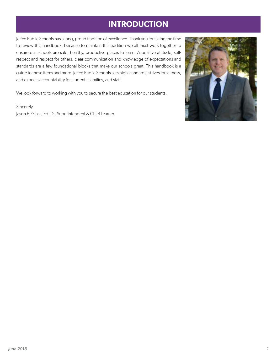# **INTRODUCTION**

<span id="page-2-0"></span>Jeffco Public Schools has a long, proud tradition of excellence. Thank you for taking the time to review this handbook, because to maintain this tradition we all must work together to ensure our schools are safe, healthy, productive places to learn. A positive attitude, selfrespect and respect for others, clear communication and knowledge of expectations and standards are a few foundational blocks that make our schools great. This handbook is a guide to these items and more. Jeffco Public Schools sets high standards, strives for fairness, and expects accountability for students, families, and staff.

We look forward to working with you to secure the best education for our students.

Sincerely, Jason E. Glass, Ed. D., Superintendent & Chief Learner

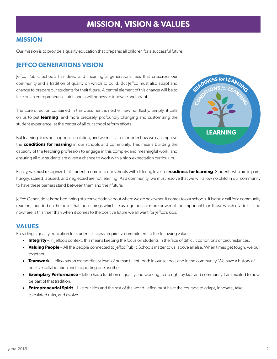# **MISSION, VISION & VALUES**

### <span id="page-3-0"></span>**MISSION**

Our mission is to provide a quality education that prepares all children for a successful future.

### **JEFFCO GENERATIONS VISION**

Jeffco Public Schools has deep and meaningful generational ties that crisscross our community and a tradition of quality on which to build. But Jeffco must also adapt and change to prepare our students for their future. A central element of this change will be to take on an entrepreneurial spirit, and a willingness to innovate and adapt.

The core direction contained in this document is neither new nor flashy. Simply, it calls on us to put **learning**, and more precisely, profoundly changing and customizing the student experience, at the center of all our school reform efforts.

But learning does not happen in isolation, and we must also consider how we can improve the **conditions for learning** in our schools and community. This means building the capacity of the teaching profession to engage in this complex and meaningful work, and ensuring all our students are given a chance to work with a high-expectation curriculum.



Finally, we must recognize that students come into our schools with differing levels of **readiness for learning**. Students who are in pain, hungry, scared, abused, and neglected are not learning. As a community, we must resolve that we will allow no child in our community to have these barriers stand between them and their future.

Jeffco Generations is the beginning of a conversation about where we go next when it comes to our schools. It is also a call for a community reunion, founded on the belief that those things which tie us together are more powerful and important than those which divide us, and nowhere is this truer than when it comes to the positive future we all want for Jeffco's kids.

# **VALUES**

Providing a quality education for student success requires a commitment to the following values:

- **Integrity** In Jeffco's context, this means keeping the focus on students in the face of difficult conditions or circumstances.
- Valuing People All the people connected to Jeffco Public Schools matter to us, above all else. When times get tough, we pull together.
- **Teamwork**  Jeffco has an extraordinary level of human talent, both in our schools and in the community. We have a history of positive collaboration and supporting one another.
- **Exemplary Performance** Jeffco has a tradition of quality and working to do right by kids and community. I am excited to now be part of that tradition.
- **Entrepreneurial Spirit** Like our kids and the rest of the world, Jeffco must have the courage to adapt, innovate, take calculated risks, and evolve.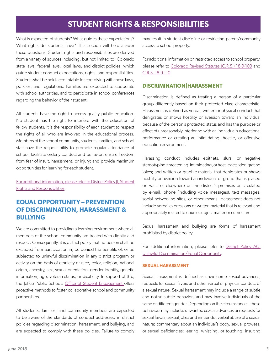# **STUDENT RIGHTS & RESPONSIBILITIES**

<span id="page-4-0"></span>What is expected of students? What guides these expectations? What rights do students have? This section will help answer these questions. Student rights and responsibilities are derived from a variety of sources including, but not limited to: Colorado state laws, federal laws, local laws, and district policies, which guide student conduct expectations, rights, and responsibilities. Students shall be held accountable for complying with these laws, policies, and regulations. Families are expected to cooperate with school authorities, and to participate in school conferences regarding the behavior of their student.

All students have the right to access quality public education. No student has the right to interfere with the education of fellow students. It is the responsibility of each student to respect the rights of all who are involved in the educational process. Members of the school community, students, families, and school staff have the responsibility to promote regular attendance at school; facilitate orderly conduct and behavior; ensure freedom from fear of insult, harassment, or injury; and provide maximum opportunities for learning for each student.

[For additional information, please refer to District Policy JI, Student](http://www.boarddocs.com/co/jeffco/Board.nsf/goto?open&id=87CU675E4B51) [Rights and Responsibilities.](http://www.boarddocs.com/co/jeffco/Board.nsf/goto?open&id=87CU675E4B51)

## **EQUAL OPPORTUNITY – PREVENTION OF DISCRIMINATION, HARASSMENT & BULLYING**

We are committed to providing a learning environment where all members of the school community are treated with dignity and respect. Consequently, it is district policy that no person shall be excluded from participation in, be denied the benefits of, or be subjected to unlawful discrimination in any district program or activity on the basis of ethnicity or race, color, religion, national origin, ancestry, sex, sexual orientation, gender identity, genetic information, age, veteran status, or disability. In support of this, the Jeffco Public Schools [Office of Student Engagement o](http://www.jeffcopublicschools.org/about/dept_directory?department=177)ffers proactive methods to foster collaborative school and community partnerships.

All students, families, and community members are expected to be aware of the standards of conduct addressed in district policies regarding discrimination, harassment, and bullying, and are expected to comply with these policies. Failure to comply may result in student discipline or restricting parent/community access to school property.

For additional information on restricted access to school property, please refer to [Colorado Revised Statutes \(C.R.S.\) 18-9-109](http://www.lexisnexis.com/hottopics/colorado?app=00075&view=full&interface=1&docinfo=off&searchtype=get&search=C.R.S.+18-9-109) and [C.R.S. 18-9-110](http://www.lexisnexis.com/hottopics/colorado?app=00075&view=full&interface=1&docinfo=off&searchtype=get&search=C.R.S.+18-9-110).

### **DISCRIMINATION|HARASSMENT**

Discrimination is defined as treating a person of a particular group differently based on their protected class characteristic. Harassment is defined as verbal, written or physical conduct that denigrates or shows hostility or aversion toward an individual because of the person's protected status and has the purpose or effect of unreasonably interfering with an individual's educational performance or creating an intimidating, hostile, or offensive education environment.

Harassing conduct includes epithets, slurs, or negative stereotyping; threatening, intimidating, or hostile acts; denigrating jokes; and written or graphic material that denigrates or shows hostility or aversion toward an individual or group that is placed on walls or elsewhere on the district's premises or circulated by e-mail, phone (including voice messages), text messages, social networking sites, or other means. Harassment does not include verbal expressions or written material that is relevant and appropriately related to course subject matter or curriculum.

Sexual harassment and bullying are forms of harassment prohibited by district policy.

For additional information, please refer to [District Policy AC,](http://www.boarddocs.com/co/jeffco/Board.nsf/goto?open&id=87CTXG5E3FFB) [Unlawful Discrimination/Equal Opportunity.](http://www.boarddocs.com/co/jeffco/Board.nsf/goto?open&id=87CTXG5E3FFB)

#### **SEXUAL HARASSMENT**

Sexual harassment is defined as unwelcome sexual advances, requests for sexual favors and other verbal or physical conduct of a sexual nature. Sexual harassment may include a range of subtle and not-so-subtle behaviors and may involve individuals of the same or different gender. Depending on the circumstances, these behaviors may include: unwanted sexual advances or requests for sexual favors; sexual jokes and innuendo; verbal abuse of a sexual nature; commentary about an individual's body, sexual prowess, or sexual deficiencies; leering, whistling, or touching; insulting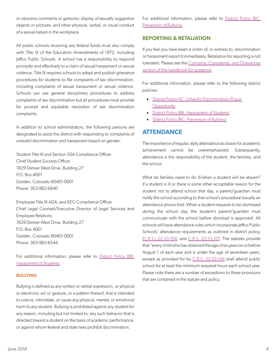<span id="page-5-0"></span>or obscene comments or gestures; display of sexually suggestive objects or pictures; and other physical, verbal, or visual conduct of a sexual nature in the workplace.

All public schools receiving any federal funds must also comply with Title IX of the Education Amendments of 1972, including Jeffco Public Schools. A school has a responsibility to respond promptly and effectively to a claim of sexual harassment or sexual violence. Title IX requires schools to adopt and publish grievance procedures for students to file complaints of sex discrimination, including complaints of sexual harassment or sexual violence. Schools can use general disciplinary procedures to address complaints of sex discrimination but all procedures must provide for prompt and equitable resolution of sex discrimination complaints.

In addition to school administrators, the following persons are designated to assist the district with responding to complaints of unlawful discrimination and harassment based on gender:

Student Title IX and Section 504 Compliance Officer Chief Student Success Officer 1829 Denver West Drive, Building 27 P.O. Box 4001 Golden, Colorado 80401-0001 Phone: 303-982-6840

Employee Title IX ADA, and EEO Compliance Officer Chief Legal Counsel/Executive Director of Legal Services and Employee Relations 1829 Denver West Drive, Building 27 P.O. Box 4001 Golden, Colorado 80401-0001 Phone: 303-982-6544

For additional information, please refer to District Policy (BB, [Harassment of Students](http://www.boarddocs.com/co/jeffco/Board.nsf/goto?open&id=87CU5Q5E4A17).

#### **BULLYING**

Bullying is defined as any written or verbal expression, or physical or electronic act or gesture, or a pattern thereof, that is intended to coerce, intimidate, or cause any physical, mental, or emotional harm to any student. Bullying is prohibited against any student for any reason, including but not limited to, any such behavior that is directed toward a student on the basis of academic performance, or against whom federal and state laws prohibit discrimination.

For additional information, please refer to District Policy |BC, [Prevention of Bullying](http://www.boarddocs.com/co/jeffco/Board.nsf/goto?open&id=87CU5R5E4A2E).

### **REPORTING & RETALIATION**

If you feel you have been a victim of, or witness to, discrimination or harassment report it immediately. Retaliation for reporting is not tolerated. Please see the [Concerns, Complaints, and Grievances](#page-14-1) [section of this handbook for guidance](#page-14-1).

For additional information, please refer to the following district policies:

- [District Policy AC, Unlawful Discrimination/Equal](http://www.boarddocs.com/co/jeffco/Board.nsf/goto?open&id=87CTXG5E3FFB)  **[Opportunity](http://www.boarddocs.com/co/jeffco/Board.nsf/goto?open&id=87CTXG5E3FFB)**
- District Policy (BB, Harassment of Students
- [District Policy JBC, Prevention of Bullying](http://www.boarddocs.com/co/jeffco/Board.nsf/goto?open&id=87CU5R5E4A2E)

# **ATTENDANCE**

The importance of regular, daily attendance as a basis for academic achievement cannot be overemphasized. Subsequently, attendance is the responsibility of the student, the families, and the school.

What do families need to do if/when a student will be absent? If a student is ill or there is some other acceptable reason for the student not to attend school that day, a parent/guardian must notify the school according to that school's procedure (usually an attendance phone line). When a student requests to be dismissed during the school day, the student's parent/guardian must communicate with the school before dismissal is approved. All schools will have attendance rules which incorporate Jeffco Public Schools' attendance requirements as outlined in district policy, [\(C.R.S.\) 22-33-104](http://www.lexisnexis.com/hottopics/colorado?app=00075&view=full&interface=1&docinfo=off&searchtype=get&search=C.R.S.+22-33-104), and [C.R.S. 22-33-107.](http://www.lexisnexis.com/hottopics/colorado?app=00075&view=full&interface=1&docinfo=off&searchtype=get&search=C.R.S.+22-33-107) The statutes provide that "every child who has obtained the age of six years on or before August 1 of each year and is under the age of seventeen years, except as provided for by [C.R.S. 22-33-104](http://www.lexisnexis.com/hottopics/colorado?app=00075&view=full&interface=1&docinfo=off&searchtype=get&search=C.R.S.+22-33-104) shall attend public school for at least the minimum required hours each school year. Please note there are a number of exceptions to these provisions that are contained in the statute and policy.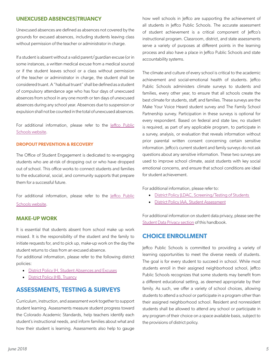### <span id="page-6-0"></span>**UNEXCUSED ABSENCES|TRUANCY**

Unexcused absences are defined as absences not covered by the grounds for excused absences, including students leaving class without permission of the teacher or administrator in charge.

If a student is absent without a valid parent/guardian excuse (or in some instances, a written medical excuse from a medical source) or if the student leaves school or a class without permission of the teacher or administrator in charge, the student shall be considered truant. A "habitual truant" shall be defined as a student of compulsory attendance age who has four days of unexcused absences from school in any one month or ten days of unexcused absences during any school year. Absences due to suspension or expulsion shall not be counted in the total of unexcused absences.

For additional information, please refer to the leffco Public [Schools website.](http://www.jeffcopublicschools.org/programs/alternative_learning/expelled_or_under_legal_supervision)

#### **DROPOUT PREVENTION & RECOVERY**

The Office of Student Engagement is dedicated to re-engaging students who are at-risk of dropping out or who have dropped out of school. This office works to connect students and families to the educational, social, and community supports that prepare them for a successful future.

For additional information, please refer to the leffco Public [Schools website.](http://www.jeffcopublicschools.org/about/dept_directory?department=140&department=140)

### **MAKE-UP WORK**

It is essential that students absent from school make up work missed. It is the responsibility of the student and the family to initiate requests for, and to pick up, make-up work on the day the student returns to class from an excused absence.

For additional information, please refer to the following district policies:

- [District Policy JH, Student Absences and Excuses](http://www.boarddocs.com/co/jeffco/Board.nsf/goto?open&id=87CU645E4B2A)
- **[District Policy JHB, Truancy](http://www.boarddocs.com/co/jeffco/Board.nsf/goto?open&id=87CU655E4B38)**

### **ASSESSMENTS, TESTING & SURVEYS**

Curriculum, instruction, and assessment work together to support student learning. Assessments measure student progress toward the Colorado Academic Standards, help teachers identify each student's instructional needs, and inform families about what and how their student is learning. Assessments also help to gauge

how well schools in Jeffco are supporting the achievement of all students in Jeffco Public Schools. The accurate assessment of student achievement is a critical component of Jeffco's instructional program. Classroom, district, and state assessments serve a variety of purposes at different points in the learning process and also have a place in Jeffco Public Schools and state accountability systems.

The climate and culture of every school is critical to the academic achievement and social-emotional health of students. Jeffco Public Schools administers climate surveys to students and families, every other year, to ensure that all schools create the best climate for students, staff, and families. These surveys are the Make Your Voice Heard student survey and The Family School Partnership survey. Participation in these surveys is optional for every respondent. Based on federal and state law, no student is required, as part of any applicable program, to participate in a survey, analysis, or evaluation that reveals information without prior parental written consent concerning certain sensitive information. Jeffco's current student and family surveys do not ask questions about any sensitive information. These two surveys are used to improve school climate, assist students with key social emotional concerns, and ensure that school conditions are ideal for student achievement.

For additional information, please refer to:

- **District Policy | LDAC, Screening/Testing of Students**
- [District Policy IAA, Student Assessment](http://www.boarddocs.com/co/jeffco/Board.nsf/goto?open&id=A3WTPB781C2F)

For additional information on student data privacy, please see the [Student Data Privacy section](#page-20-1) of this handbook.

### **CHOICE ENROLLMENT**

Jeffco Public Schools is committed to providing a variety of learning opportunities to meet the diverse needs of students. The goal is for every student to succeed in school. While most students enroll in their assigned neighborhood school, Jeffco Public Schools recognizes that some students may benefit from a different educational setting, as deemed appropriate by their family. As such, we offer a variety of school choices, allowing students to attend a school or participate in a program other than their assigned neighborhood school. Resident and nonresident students shall be allowed to attend any school or participate in any program of their choice on a space available basis, subject to the provisions of district policy.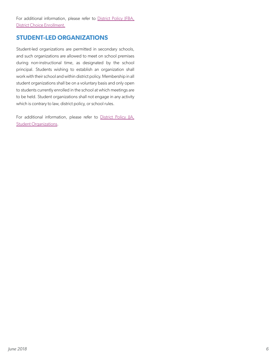<span id="page-7-0"></span>For additional information, please refer to District Policy JFBA, [District Choice Enrollment.](http://www.boarddocs.com/co/jeffco/Board.nsf/goto?open&id=87CU5Z5E4ACA)

### **STUDENT-LED ORGANIZATIONS**

Student-led organizations are permitted in secondary schools, and such organizations are allowed to meet on school premises during non-instructional time, as designated by the school principal. Students wishing to establish an organization shall work with their school and within district policy. Membership in all student organizations shall be on a voluntary basis and only open to students currently enrolled in the school at which meetings are to be held. Student organizations shall not engage in any activity which is contrary to law, district policy, or school rules.

For additional information, please refer to District Policy IIA, **[Student Organizations.](http://www.boarddocs.com/co/jeffco/Board.nsf/goto?open&id=87CU6J5E4BCC)**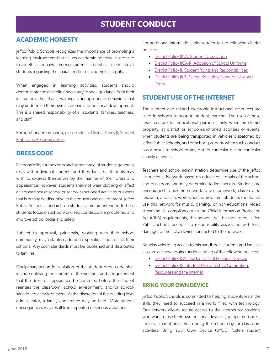# **STUDENT CONDUCT**

# <span id="page-8-0"></span>**ACADEMIC HONESTY**

Jeffco Public Schools recognizes the importance of promoting a learning environment that values academic honesty. In order to foster ethical behavior among students, it is critical to educate all students regarding the characteristics of academic integrity.

When engaged in learning activities, students should demonstrate the discipline necessary to seek guidance from their instructor rather than resorting to inappropriate behaviors that may undermine their own academic and personal development. This is a shared responsibility of all students, families, teachers, and staff.

For additional information, please refer to [District Policy JI, Student](http://www.boarddocs.com/co/jeffco/Board.nsf/goto?open&id=87CU675E4B51) [Rights and Responsibilities.](http://www.boarddocs.com/co/jeffco/Board.nsf/goto?open&id=87CU675E4B51)

### **DRESS CODE**

Responsibility for the dress and appearance of students generally rests with individual students and their families. Students may wish to express themselves by the manner of their dress and appearance; however, students shall not wear clothing or affect an appearance at school or school-sanctioned activities or events that is or may be disruptive to the educational environment. Jeffco Public Schools standards on student attire are intended to help students focus on schoolwork, reduce discipline problems, and improve school order and safety.

Subject to approval, principals, working with their school community, may establish additional specific standards for their schools. Any such standards must be published and distributed to families.

Disciplinary action for violation of the student dress code shall include notifying the student of the violation and a requirement that the dress or appearance be corrected before the student reenters the classroom, school environment, and/or schoolsanctioned activity or event. At the discretion of the building level administrator, a family conference may be held. More serious consequences may result from repeated or serious violations.

For additional information, please refer to the following district policies:

- [District Policy JICA, Student Dress Code](http://www.boarddocs.com/co/jeffco/Board.nsf/goto?open&id=87CU685E4B5B)
- District Policy IICA-R, Adoption of School Uniforms
- [District Policy JI, Student Rights and Responsibilities](http://www.boarddocs.com/co/jeffco/Board.nsf/goto?open&id=87CU675E4B51)
- District Policy IICF, Secret Societies/Gang Activity and [Dress](http://www.boarddocs.com/co/jeffco/Board.nsf/goto?open&id=87CU6C5E4B87)

### **STUDENT USE OF THE INTERNET**

The Internet and related electronic instructional resources are used in schools to support student learning. The use of these resources are for educational purposes only when on district property, at district or school-sanctioned activities or events, when students are being transported in vehicles dispatched by Jeffco Public Schools, and off school property when such conduct has a nexus to school or any district curricular or non-curricular activity or event.

Teachers and school administration determine use of the Jeffco Instructional Network based on educational goals of the school and classroom, and may determine to limit access. Students are encouraged to use the network to do homework, class-related research, and class work when appropriate. Students should not use this network for music, gaming, or non-educational video streaming. In compliance with the Child Information Protection Act (CIPA) requirements, this network will be monitored. Jeffco Public Schools accepts no responsibility associated with loss, damage, or theft of a device connected to the network.

By acknowledging access to this handbook, students and families also are acknowledging understanding of the following policies:

- District Policy SA, Student Use of Personal Devices
- District Policy | S, Student Use of District Computing [Resources and the Internet](http://www.boarddocs.com/co/jeffco/Board.nsf/goto?open&id=87CU7C5E4D36)

#### **BRING YOUR OWN DEVICE**

Jeffco Public Schools is committed to helping students learn the skills they need to succeed in a world filled with technology. Our network allows secure access to the Internet for students who want to use their own personal devices (laptops, netbooks, tablets, smartphone, etc.) during the school day for classroom activities. Bring Your Own Device (BYOD) fosters student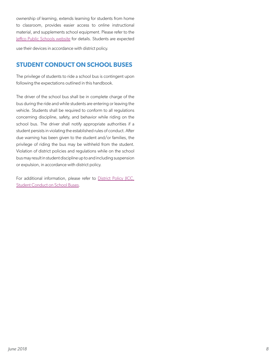<span id="page-9-0"></span>ownership of learning, extends learning for students from home to classroom, provides easier access to online instructional material, and supplements school equipment. Please refer to the [Jeffco Public Schools website](http://www.jeffcopublicschools.org/academics/curriculum/technology_in_the_classroom/bring_your_own_device/) for details. Students are expected

use their devices in accordance with district policy.

### **STUDENT CONDUCT ON SCHOOL BUSES**

The privilege of students to ride a school bus is contingent upon following the expectations outlined in this handbook.

The driver of the school bus shall be in complete charge of the bus during the ride and while students are entering or leaving the vehicle. Students shall be required to conform to all regulations concerning discipline, safety, and behavior while riding on the school bus. The driver shall notify appropriate authorities if a student persists in violating the established rules of conduct. After due warning has been given to the student and/or families, the privilege of riding the bus may be withheld from the student. Violation of district policies and regulations while on the school bus may result in student discipline up to and including suspension or expulsion, in accordance with district policy.

For additional information, please refer to District Policy (ICC, [Student Conduct on School Buses](http://www.boarddocs.com/co/jeffco/Board.nsf/goto?open&id=87CU695E4B69).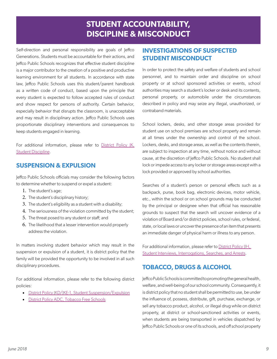# **STUDENT ACCOUNTABILITY, DISCIPLINE & MISCONDUCT**

<span id="page-10-0"></span>Self-direction and personal responsibility are goals of Jeffco Generations. Students must be accountable for their actions, and Jeffco Public Schools recognizes that effective student discipline is a major contributor to the creation of a positive and productive learning environment for all students. In accordance with state law, Jeffco Public Schools uses this student/parent handbook as a written code of conduct, based upon the principle that every student is expected to follow accepted rules of conduct and show respect for persons of authority. Certain behavior, especially behavior that disrupts the classroom, is unacceptable and may result in disciplinary action. Jeffco Public Schools uses proportionate disciplinary interventions and consequences to keep students engaged in learning.

For additional information, please refer to [District Policy JK,](http://www.boarddocs.com/co/jeffco/Board.nsf/goto?open&id=87CU6R5E4C32) [Student Discipline.](http://www.boarddocs.com/co/jeffco/Board.nsf/goto?open&id=87CU6R5E4C32)

# **SUSPENSION & EXPULSION**

Jeffco Public Schools officials may consider the following factors to determine whether to suspend or expel a student:

- 1. The student's age;
- 2. The student's disciplinary history;
- 3. The student's eligibility as a student with a disability;
- 4. The seriousness of the violation committed by the student;
- 5. The threat posed to any student or staff; and
- 6. The likelihood that a lesser intervention would properly address the violation.

In matters involving student behavior which may result in the suspension or expulsion of a student, it is district policy that the family will be provided the opportunity to be involved in all such disciplinary procedures.

For additional information, please refer to the following district policies:

- District Policy (KD/KE-1, Student Suspension/Expulsion
- [District Policy ADC, Tobacco Free Schools](http://www.boarddocs.com/co/jeffco/Board.nsf/goto?open&id=87CTXH5E4005)

# **INVESTIGATIONS OF SUSPECTED STUDENT MISCONDUCT**

In order to protect the safety and welfare of students and school personnel, and to maintain order and discipline on school property or at school sponsored activities or events, school authorities may search a student's locker or desk and its contents, personal property, or automobile under the circumstances described in policy and may seize any illegal, unauthorized, or contraband materials.

School lockers, desks, and other storage areas provided for student use on school premises are school property and remain at all times under the ownership and control of the school. Lockers, desks, and storage areas, as well as the contents therein, are subject to inspection at any time, without notice and without cause, at the discretion of Jeffco Public Schools. No student shall lock or impede access to any locker or storage areas except with a lock provided or approved by school authorities.

Searches of a student's person or personal effects such as a backpack, purse, book bag, electronic devices, motor vehicle, etc., within the school or on school grounds may be conducted by the principal or designee when that official has reasonable grounds to suspect that the search will uncover evidence of a violation of Board and/or district policies, school rules, or federal, state, or local laws or uncover the presence of an item that presents an immediate danger of physical harm or illness to any person.

For additional information, please refer to District Policy IIH, [Student Interviews, Interrogations, Searches, and Arrests](http://www.boarddocs.com/co/jeffco/Board.nsf/goto?open&id=87CU6G5E4BB6).

# **TOBACCO, DRUGS & ALCOHOL**

Jeffco Public Schools is committed to promoting the general health, welfare, and well-being of our school community. Consequently, it is district policy that no student shall be permitted to use, be under the influence of, possess, distribute, gift, purchase, exchange, or sell any tobacco product, alcohol, or illegal drug while on district property, at district or school-sanctioned activities or events, when students are being transported in vehicles dispatched by Jeffco Public Schools or one of its schools, and off school property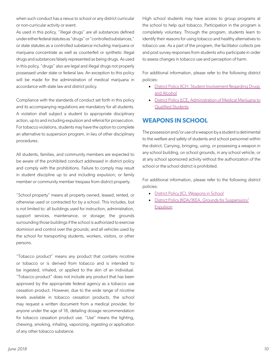<span id="page-11-0"></span>when such conduct has a nexus to school or any district curricular or non-curricular activity or event.

As used in this policy, "illegal drugs" are all substances defined under either federal statutes as "drugs" or "controlled substances," or state statutes as a controlled substance including marijuana or marijuana concentrate as well as counterfeit or synthetic illegal drugs and substances falsely represented as being drugs. As used in this policy, "drugs" also are legal and illegal drugs not properly possessed under state or federal law. An exception to this policy will be made for the administration of medical marijuana in accordance with state law and district policy.

Compliance with the standards of conduct set forth in this policy and its accompanying regulations are mandatory for all students. A violation shall subject a student to appropriate disciplinary action, up to and including expulsion and referral for prosecution. For tobacco violations, students may have the option to complete an alternative to suspension program, in lieu of other disciplinary procedures.

All students, families, and community members are expected to be aware of the prohibited conduct addressed in district policy and comply with the prohibitions. Failure to comply may result in student discipline up to and including expulsion; or family member or community member trespass from district property.

"School property" means all property owned, leased, rented, or otherwise used or contracted for by a school. This includes, but is not limited to: all buildings used for instruction, administration, support services, maintenance, or storage; the grounds surrounding those buildings if the school is authorized to exercise dominion and control over the grounds; and all vehicles used by the school for transporting students, workers, visitors, or other persons.

"Tobacco product" means any product that contains nicotine or tobacco or is derived from tobacco and is intended to be ingested, inhaled, or applied to the skin of an individual. "Tobacco product" does not include any product that has been approved by the appropriate federal agency as a tobacco use cessation product. However, due to the wide range of nicotine levels available in tobacco cessation products, the school may request a written document from a medical provider, for anyone under the age of 18, detailing dosage recommendation for tobacco cessation product use. "Use" means the lighting, chewing, smoking, inhaling, vaporizing, ingesting or application of any other tobacco substance.

High school students may have access to group programs at the school to help quit tobacco. Participation in the program is completely voluntary. Through the program, students learn to identify their reasons for using tobacco and healthy alternatives to tobacco use. As a part of the program, the facilitator collects pre and post survey responses from students who participate in order to assess changes in tobacco use and perception of harm.

For additional information, please refer to the following district policies:

- District Policy IICH, Student Involvement Regarding Drugs [and Alcohol](http://www.boarddocs.com/co/jeffco/Board.nsf/goto?open&id=87CU6D5E4B95)
- [District Policy JLCE, Administration of Medical Marijuana to](http://www.boarddocs.com/co/jeffco/Board.nsf/goto?open&id=ACNTY7799A41)  [Qualified Students](http://www.boarddocs.com/co/jeffco/Board.nsf/goto?open&id=ACNTY7799A41)

### **WEAPONS IN SCHOOL**

The possession and/or use of a weapon by a student is detrimental to the welfare and safety of students and school personnel within the district. Carrying, bringing, using, or possessing a weapon in any school building, on school grounds, in any school vehicle, or at any school sponsored activity without the authorization of the school or the school district is prohibited.

For additional information, please refer to the following district policies:

- [District Policy JICI, Weapons in School](http://www.boarddocs.com/co/jeffco/Board.nsf/goto?open&id=87CU6E5E4B9F)
- District Policy | KDA / | KEA, Grounds for Suspension / [Expulsion](http://www.boarddocs.com/co/jeffco/Board.nsf/goto?open&id=87CU6T5E4C46)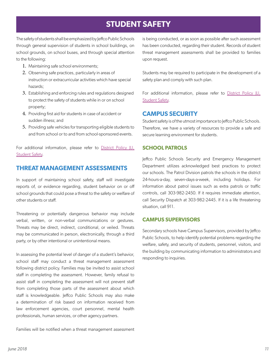# **STUDENT SAFETY**

<span id="page-12-0"></span>The safety of students shall be emphasized by Jeffco Public Schools through general supervision of students in school buildings, on school grounds, on school buses, and through special attention to the following:

- 1. Maintaining safe school environments;
- 2. Observing safe practices, particularly in areas of instruction or extracurricular activities which have special hazards;
- 3. Establishing and enforcing rules and regulations designed to protect the safety of students while in or on school property;
- 4. Providing first aid for students in case of accident or sudden illness; and
- 5. Providing safe vehicles for transporting eligible students to and from school or to and from school-sponsored events.

For additional information, please refer to District Policy [LI, [Student Safety](http://www.boarddocs.com/co/jeffco/Board.nsf/goto?open&id=87CU755E4CBC).

### **THREAT MANAGEMENT ASSESSMENTS**

In support of maintaining school safety, staff will investigate reports of, or evidence regarding, student behavior on or off school grounds that could pose a threat to the safety or welfare of other students or staff.

Threatening or potentially dangerous behavior may include verbal, written, or non-verbal communications or gestures. Threats may be direct, indirect, conditional, or veiled. Threats may be communicated in person, electronically, through a third party, or by other intentional or unintentional means.

In assessing the potential level of danger of a student's behavior, school staff may conduct a threat management assessment following district policy. Families may be invited to assist school staff in completing the assessment. However, family refusal to assist staff in completing the assessment will not prevent staff from completing those parts of the assessment about which staff is knowledgeable. Jeffco Public Schools may also make a determination of risk based on information received from law enforcement agencies, court personnel, mental health professionals, human services, or other agency partners.

Families will be notified when a threat management assessment

is being conducted, or as soon as possible after such assessment has been conducted, regarding their student. Records of student threat management assessments shall be provided to families upon request.

Students may be required to participate in the development of a safety plan and comply with such plan.

For additional information, please refer to District Policy [LI, [Student Safety](http://www.boarddocs.com/co/jeffco/Board.nsf/goto?open&id=87CU755E4CBC).

### **CAMPUS SECURITY**

Student safety is of the utmost importance to Jeffco Public Schools. Therefore, we have a variety of resources to provide a safe and secure learning environment for students.

### **SCHOOL PATROLS**

Jeffco Public Schools Security and Emergency Management Department utilizes acknowledged best practices to protect our schools. The Patrol Division patrols the schools in the district 24-hours-a-day, seven-days-a-week, including holidays. For information about patrol issues such as extra patrols or traffic controls, call 303-982-2450. If it requires immediate attention, call Security Dispatch at 303-982-2445. If it is a life threatening situation, call 911.

### **CAMPUS SUPERVISORS**

Secondary schools have Campus Supervisors, provided by Jeffco Public Schools, to help identify potential problems regarding the welfare, safety, and security of students, personnel, visitors, and the building by communicating information to administrators and responding to inquiries.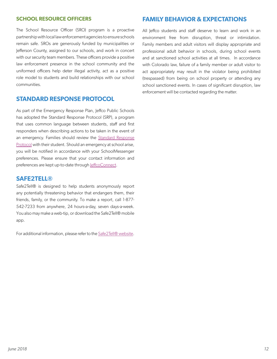#### <span id="page-13-0"></span>**SCHOOL RESOURCE OFFICERS**

The School Resource Officer (SRO) program is a proactive partnership with local law enforcement agencies to ensure schools remain safe. SROs are generously funded by municipalities or Jefferson County, assigned to our schools, and work in concert with our security team members. These officers provide a positive law enforcement presence in the school community and the uniformed officers help deter illegal activity, act as a positive role model to students and build relationships with our school communities.

### **STANDARD RESPONSE PROTOCOL**

As part of the Emergency Response Plan, Jeffco Public Schools has adopted the Standard Response Protocol (SRP), a program that uses common language between students, staff and first responders when describing actions to be taken in the event of an emergency. Families should review the [Standard Response](http://www.jeffcopublicschools.org/UserFiles/Servers/Server_627881/File/Jeffco%20PS/About%20Jeffco/Calendars/Closures%20and%20Alerts/Student%20and%20Parent%20Handout.pdf) [Protocol](http://www.jeffcopublicschools.org/UserFiles/Servers/Server_627881/File/Jeffco%20PS/About%20Jeffco/Calendars/Closures%20and%20Alerts/Student%20and%20Parent%20Handout.pdf) with their student. Should an emergency at school arise, you will be notified in accordance with your SchoolMessenger preferences. Please ensure that your contact information and preferences are kept up-to-date through [JeffcoConnect.](https://jeffcoconnect.jeffco.k12.co.us/)

#### **SAFE2TELL®**

Safe2Tell® is designed to help students anonymously report any potentially threatening behavior that endangers them, their friends, family, or the community. To make a report, call 1-877- 542-7233 from anywhere, 24 hours-a-day, seven days-a-week. You also may make a web-tip, or download the Safe2Tell® mobile app.

For additional information, please refer to the [Safe2Tell® website](http://safe2tell.org/).

### **FAMILY BEHAVIOR & EXPECTATIONS**

All Jeffco students and staff deserve to learn and work in an environment free from disruption, threat or intimidation. Family members and adult visitors will display appropriate and professional adult behavior in schools, during school events and at sanctioned school activities at all times. In accordance with Colorado law, failure of a family member or adult visitor to act appropriately may result in the violator being prohibited (trespassed) from being on school property or attending any school sanctioned events. In cases of significant disruption, law enforcement will be contacted regarding the matter.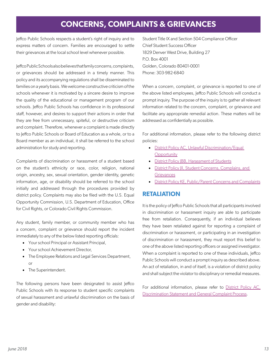# **CONCERNS, COMPLAINTS & GRIEVANCES**

<span id="page-14-0"></span>Jeffco Public Schools respects a student's right of inquiry and to express matters of concern. Families are encouraged to settle their grievances at the local school level whenever possible.

Jeffco Public Schools also believes that family concerns, complaints, or grievances should be addressed in a timely manner. This policy and its accompanying regulations shall be disseminated to families on a yearly basis. We welcome constructive criticism of the schools whenever it is motivated by a sincere desire to improve the quality of the educational or management program of our schools. Jeffco Public Schools has confidence in its professional staff, however, and desires to support their actions in order that they are free from unnecessary, spiteful, or destructive criticism and complaint. Therefore, whenever a complaint is made directly to Jeffco Public Schools or Board of Education as a whole, or to a Board member as an individual, it shall be referred to the school administration for study and reporting.

Complaints of discrimination or harassment of a student based on the student's ethnicity or race, color, religion, national origin, ancestry, sex, sexual orientation, gender identity, genetic information, age, or disability should be referred to the school initially and addressed through the procedures provided by district policy. Complaints may also be filed with the U.S. Equal Opportunity Commission, U.S. Department of Education, Office for Civil Rights, or Colorado Civil Rights Commission.

Any student, family member, or community member who has a concern, complaint or grievance should report the incident immediately to any of the below listed reporting officials:

- Your school Principal or Assistant Principal,
- Your school Achievement Director,
- The Employee Relations and Legal Services Department, or
- The Superintendent.

The following persons have been designated to assist Jeffco Public Schools with its response to student specific complaints of sexual harassment and unlawful discrimination on the basis of gender and disability:

<span id="page-14-1"></span>Student Title IX and Section 504 Compliance Officer Chief Student Success Officer 1829 Denver West Drive, Building 27 P.O. Box 4001 Golden, Colorado 80401-0001 Phone: 303-982-6840

When a concern, complaint, or grievance is reported to one of the above listed employees, Jeffco Public Schools will conduct a prompt inquiry. The purpose of the inquiry is to gather all relevant information related to the concern, complaint, or grievance and facilitate any appropriate remedial action. These matters will be addressed as confidentially as possible.

For additional information, please refer to the following district policies:

- District Policy AC, Unlawful Discrimination/Equal **[Opportunity](http://www.boarddocs.com/co/jeffco/Board.nsf/goto?open&id=87CTXG5E3FFB)**
- District Policy (BB, Harassment of Students
- District Policy III, Student Concerns, Complains, and **[Grievances](http://www.boarddocs.com/co/jeffco/Board.nsf/goto?open&id=87CU6H5E4BC1)**
- [District Policy KE, Public/Parent Concerns and Complaints](http://www.boarddocs.com/co/jeffco/Board.nsf/goto?open&id=87CU7N5E4DBF)

### **RETALIATION**

It is the policy of Jeffco Public Schools that all participants involved in discrimination or harassment inquiry are able to participate free from retaliation. Consequently, if an individual believes they have been retaliated against for reporting a complaint of discrimination or harassment, or participating in an investigation of discrimination or harassment, they must report this belief to one of the above listed reporting officers or assigned investigator. When a complaint is reported to one of these individuals, Jeffco Public Schools will conduct a prompt inquiry as described above. An act of retaliation, in and of itself, is a violation of district policy and shall subject the violator to disciplinary or remedial measures.

For additional information, please refer to [District Policy AC,](http://www.boarddocs.com/co/jeffco/Board.nsf/goto?open&id=87CTXG5E3FFB) [Discrimination Statement and General Complaint Process](http://www.boarddocs.com/co/jeffco/Board.nsf/goto?open&id=87CTXG5E3FFB).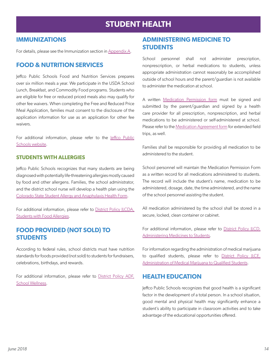# **STUDENT HEALTH**

### <span id="page-15-0"></span>**IMMUNIZATIONS**

For details, please see the Immunization section in [Appendix A](#page-20-1).

### **FOOD & NUTRITION SERVICES**

Jeffco Public Schools Food and Nutrition Services prepares over six million meals a year. We participate in the USDA School Lunch, Breakfast, and Commodity Food programs. Students who are eligible for free or reduced priced meals also may qualify for other fee waivers. When completing the Free and Reduced Price Meal Application, families must consent to the disclosure of the application information for use as an application for other fee waivers.

For additional information, please refer to the Jeffco Public [Schools website.](http://www.jeffcopublicschools.org/services/food_services)

### **STUDENTS WITH ALLERGIES**

Jeffco Public Schools recognizes that many students are being diagnosed with potentially life-threatening allergies mostly caused by food and other allergens. Families, the school administrator, and the district school nurse will develop a health plan using the [Colorado State Student Allergy and Anaphylaxis Health Form](https://drive.google.com/file/d/0B-qcwYQNDe6XUHhrcVJKaXpuQmc/view).

For additional information, please refer to District Policy (LCDA, [Students with Food Allergies](http://www.boarddocs.com/co/jeffco/Board.nsf/goto?open&id=89APC363D3DA).

### **FOOD PROVIDED (NOT SOLD) TO STUDENTS**

According to federal rules, school districts must have nutrition standards for foods provided (not sold) to students for fundraisers, celebrations, birthdays, and rewards.

For additional information, please refer to [District Policy ADF,](http://www.boarddocs.com/co/jeffco/Board.nsf/goto?open&id=87CTXJ5E4010) [School Wellness](http://www.boarddocs.com/co/jeffco/Board.nsf/goto?open&id=87CTXJ5E4010).

# **ADMINISTERING MEDICINE TO STUDENTS**

School personnel shall not administer prescription, nonprescription, or herbal medications to students, unless appropriate administration cannot reasonably be accomplished outside of school hours and the parent/guardian is not available to administer the medication at school.

A written [Medication Permission form](http://www.jeffcopublicschools.org/services/health_services/medications) must be signed and submitted by the parent/guardian and signed by a health care provider for all prescription, nonprescription, and herbal medications to be administered or self-administered at school. Please refer to the [Medication Agreement form](http://www.jeffcopublicschools.org/services/health_services/medications) for extended field trips, as well.

Families shall be responsible for providing all medication to be administered to the student.

School personnel will maintain the Medication Permission Form as a written record for all medications administered to students. The record will include the student's name, medication to be administered, dosage, date, the time administered, and the name of the school personnel assisting the student.

All medication administered by the school shall be stored in a secure, locked, clean container or cabinet.

For additional information, please refer to District Policy ILCD, [Administering Medicines to Students.](http://www.boarddocs.com/co/jeffco/Board.nsf/goto?open&id=87CU6Z5E4C92)

For information regarding the administration of medical marijuana to qualified students, please refer to [District Policy JLCE,](http://www.boarddocs.com/co/jeffco/Board.nsf/goto?open&id=ACNTY7799A41) [Administration of Medical Marijuana to Qualified Students](http://www.boarddocs.com/co/jeffco/Board.nsf/goto?open&id=ACNTY7799A41).

### **HEALTH EDUCATION**

Jeffco Public Schools recognizes that good health is a significant factor in the development of a total person. In a school situation, good mental and physical health may significantly enhance a student's ability to participate in classroom activities and to take advantage of the educational opportunities offered.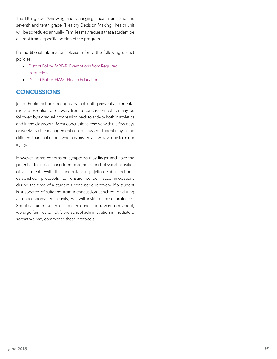<span id="page-16-0"></span>The fifth grade "Growing and Changing" health unit and the seventh and tenth grade "Healthy Decision Making" health unit will be scheduled annually. Families may request that a student be exempt from a specific portion of the program.

For additional information, please refer to the following district policies:

- [District Policy IMBB-R, Exemptions from Required](http://www.boarddocs.com/co/jeffco/Board.nsf/goto?open&id=87CU5J5E49BA)  **[Instruction](http://www.boarddocs.com/co/jeffco/Board.nsf/goto?open&id=87CU5J5E49BA)**
- **[District Policy IHAM, Health Education](http://www.boarddocs.com/co/jeffco/Board.nsf/goto?open&id=87CU4P5E4856)**

# **CONCUSSIONS**

Jeffco Public Schools recognizes that both physical and mental rest are essential to recovery from a concussion, which may be followed by a gradual progression back to activity both in athletics and in the classroom. Most concussions resolve within a few days or weeks, so the management of a concussed student may be no different than that of one who has missed a few days due to minor injury.

However, some concussion symptoms may linger and have the potential to impact long-term academics and physical activities of a student. With this understanding, Jeffco Public Schools established protocols to ensure school accommodations during the time of a student's concussive recovery. If a student is suspected of suffering from a concussion at school or during a school-sponsored activity, we will institute these protocols. Should a student suffer a suspected concussion away from school, we urge families to notify the school administration immediately, so that we may commence these protocols.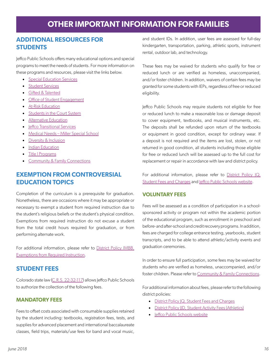# **OTHER IMPORTANT INFORMATION FOR FAMILIES**

### <span id="page-17-0"></span>**ADDITIONAL RESOURCES FOR STUDENTS**

Jeffco Public Schools offers many educational options and special programs to meet the needs of students. For more information on these programs and resources, please visit the links below.

- [Special Education Services](http://www.jeffcopublicschools.org/programs/special_education)
- **[Student Services](http://www.jeffcopublicschools.org/about/dept_directory?department=124)**
- [Gifted & Talented](http://www.jeffcopublicschools.org/programs/gifted_talented)
- [Office of Student Engagement](http://www.jeffcopublicschools.org/about/dept_directory?department=177)
- [At-Risk Education](http://www.jeffcopublicschools.org/programs/alternative_learning)
- [Students in the Court System](http://www.jeffcopublicschools.org/programs/alternative_learning/expelled_or_under_legal_supervision/)
- **[Alternative Education](http://www.jeffcopublicschools.org/programs/alternative_learning)**
- **Ieffco Transitional Services**
- [Medical Needs Miller Special School](http://www.jeffcopublicschools.org/cms/One.aspx?portalId=627965&pageId=1067027&school=5892)
- [Diversity & Inclusion](http://www.jeffcopublicschools.org/programs/diversity_inclusion)
- [Indian Education](http://www.jeffcopublicschools.org/programs/diversity_inclusion/indian_education/)
- [Title I Programs](http://www.jeffcopublicschools.org/programs/diversity_inclusion/title_1/)
- [Community & Family Connections](http://www.jeffcopublicschools.org/about/dept_directory?department=4)

### **EXEMPTION FROM CONTROVERSIAL EDUCATION TOPICS**

Completion of the curriculum is a prerequisite for graduation. Nonetheless, there are occasions where it may be appropriate or necessary to exempt a student from required instruction due to the student's religious beliefs or the student's physical condition. Exemptions from required instruction do not excuse a student from the total credit hours required for graduation, or from performing alternate work.

For additional information, please refer to District Policy IMBB, [Exemptions from Required Instruction](http://www.boarddocs.com/co/jeffco/Board.nsf/goto?open&id=87CU5J5E49BA).

### **STUDENT FEES**

Colorado state law [\(C.R.S. 22-32-117](http://www.lexisnexis.com/hottopics/colorado?app=00075&view=full&interface=1&docinfo=off&searchtype=get&search=C.R.S.+22-32-117)) allows Jeffco Public Schools to authorize the collection of the following fees.

### **MANDATORY FEES**

Fees to offset costs associated with consumable supplies retained by the student including: textbooks, registration fees, tests, and supplies for advanced placement and international baccalaureate classes, field trips, materials/use fees for band and vocal music,

and student IDs. In addition, user fees are assessed for full-day kindergarten, transportation, parking, athletic sports, instrument rental, outdoor lab, and technology.

These fees may be waived for students who qualify for free or reduced lunch or are verified as homeless, unaccompanied, and/or foster children. In addition, waivers of certain fees may be granted for some students with IEPs, regardless of free or reduced eligibility.

Jeffco Public Schools may require students not eligible for free or reduced lunch to make a reasonable loss or damage deposit to cover equipment, textbooks, and musical instruments, etc. The deposits shall be refunded upon return of the textbooks or equipment in good condition, except for ordinary wear. If a deposit is not required and the items are lost, stolen, or not returned in good condition, all students including those eligible for free or reduced lunch will be assessed up to the full cost for replacement or repair in accordance with law and district policy.

For additional information, please refer to District Policy  $|Q_t|$ [Student Fees and Charges](http://www.jeffcopublicschools.org/services/health_services/medications) and [Jeffco Public Schools website.](https://jeffco.ss12.sharpschool.com/finance/student_fees)

### **VOLUNTARY FEES**

Fees will be assessed as a condition of participation in a schoolsponsored activity or program not within the academic portion of the educational program, such as enrollment in preschool and before- and after-school and credit recovery programs. In addition, fees are charged for college entrance testing, yearbooks, student transcripts, and to be able to attend athletic/activity events and graduation ceremonies.

In order to ensure full participation, some fees may be waived for students who are verified as homeless, unaccompanied, and/or foster children. Please refer to [Community & Family Connections](http://www.jeffcopublicschools.org/about/dept_directory?department=4).

For additional information about fees, please refer to the following district policies:

- District Policy | Q, Student Fees and Charges
- District Policy IID, Student Activity Fees (Athletics)
- [Jeffco Public Schools website](https://jeffco.ss12.sharpschool.com/finance/student_fees)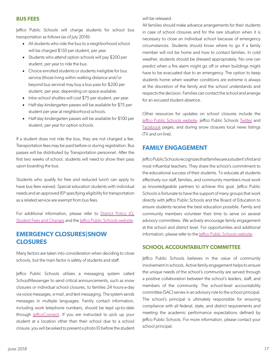#### <span id="page-18-0"></span>**BUS FEES**

Jeffco Public Schools will charge students for school bus transportation as follows (as of July 2016):

- All students who ride the bus to a neighborhood school will be charged \$150 per student, per year.
- Students who attend option schools will pay \$200 per student, per year to ride the bus.
- Choice enrolled students or students ineligible for bus service (those living within walking distance and/or beyond bus service) may buy a bus pass for \$200 per student, per year, depending on space available.
- Intra-school shuttles will cost \$75 per student, per year.
- Half-day kindergarten passes will be available for \$75 per student per year at neighborhood schools.
- Half-day kindergarten passes will be available for \$100 per student, per year for option schools.

If a student does not ride the bus, they are not charged a fee. Transportation fees may be paid before or during registration. Bus passes will be distributed by Transportation personnel. After the first two weeks of school, students will need to show their pass upon boarding the bus.

Students who qualify for free and reduced lunch can apply to have bus fees waived. Special education students with individual needs and an approved IEP specifying eligibility for transportation as a related service are exempt from bus fees.

For additional information, please refer to [District Policy JQ,](http://www.boarddocs.com/co/jeffco/Board.nsf/goto?open&id=87CU795E4CE8) [Student Fees and Charges](http://www.boarddocs.com/co/jeffco/Board.nsf/goto?open&id=87CU795E4CE8) and the [Jeffco Public Schools website.](https://jeffco.ss12.sharpschool.com/finance/student_fees)

### **EMERGENCY CLOSURES|SNOW CLOSURES**

Many factors are taken into consideration when deciding to close schools, but the main factor is safety of students and staff.

Jeffco Public Schools utilizes a messaging system called SchoolMessenger to send critical announcements, such as snow closures or individual school closures, to families 24 hours-a-day via voice messages, e-mail, and text messaging. The system sends messages in multiple languages. Family contact information, including work telephone numbers, should be kept up-to-date through [JeffcoConnect.](https://jeffcoconnect.jeffco.k12.co.us/) If you are instructed to pick up your student at a location other than their school due to a school closure, you will be asked to present a photo ID before the student

will be released.

All families should make advance arrangements for their students in case of school closures and for the rare situation when it is necessary to close an individual school because of emergency circumstances. Students should know where to go if a family member will not be home and how to contact families. In cold weather, students should be dressed appropriately. No one can predict when a fire alarm might go off or when buildings might have to be evacuated due to an emergency. The option to keep students home when weather conditions are extreme is always at the discretion of the family and the school understands and respects the decision. Families can contact the school and arrange for an excused student absence.

Other resources for updates on school closures include the [Jeffco Public Schools website,](http://www.jeffcopublicschools.org/about/calendars/security) Jeffco Public Schools [Twitter](https://twitter.com/JeffcoSchoolsCo) and [Facebook](https://www.facebook.com/JeffcoPublicSchoolsColorado) pages, and during snow closures local news listings (TV and on-line).

### **FAMILY ENGAGEMENT**

Jeffco Public Schools recognizes that families are a student's first and most influential teachers. They share the school's commitment to the educational success of their students. To educate all students effectively our staff, families, and community members must work as knowledgeable partners to achieve this goal. Jeffco Public Schools is fortunate to have the support of many groups that work directly with Jeffco Public Schools and the Board of Education to ensure students receive the best education possible. Family and community members volunteer their time to serve on several advisory committees. We actively encourage family engagement at the school and district level. For opportunities and additional information, please refer to the *effco Public Schools website*.

### **SCHOOL ACCOUNTABILITY COMMITTEE**

Jeffco Public Schools believes in the value of community involvement in schools. Active family engagement helps to ensure the unique needs of the school's community are served through a positive collaboration between the school's leaders, staff, and members of the community. The school-level accountability committee (SAC) serves in an advisory role to the school principal. The school's principal is ultimately responsible for ensuring compliance with all federal, state, and district requirements and meeting the academic performance expectations defined by Jeffco Public Schools. For more information, please contact your school principal.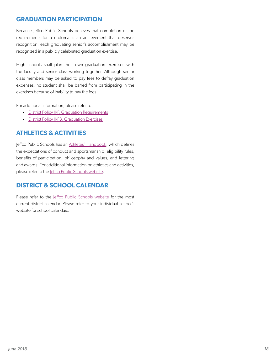## <span id="page-19-0"></span>**GRADUATION PARTICIPATION**

Because Jeffco Public Schools believes that completion of the requirements for a diploma is an achievement that deserves recognition, each graduating senior's accomplishment may be recognized in a publicly celebrated graduation exercise.

High schools shall plan their own graduation exercises with the faculty and senior class working together. Although senior class members may be asked to pay fees to defray graduation expenses, no student shall be barred from participating in the exercises because of inability to pay the fees.

For additional information, please refer to:

- [District Policy IKF, Graduation Requirements](http://www.boarddocs.com/co/jeffco/Board.nsf/goto?open&id=87CU5C5E4970)
- [District Policy IKFB, Graduation Exercises](http://www.boarddocs.com/co/jeffco/Board.nsf/goto?open&id=87CU5E5E498A)

# **ATHLETICS & ACTIVITIES**

Jeffco Public Schools has an [Athletes' Handbook,](https://drive.google.com/file/d/0B9XEWEmRkgIYNHVKWTNyVEhnbE0/view?usp=sharing) which defines the expectations of conduct and sportsmanship, eligibility rules, benefits of participation, philosophy and values, and lettering and awards. For additional information on athletics and activities, please refer to the *effco Public Schools website*.

### **DISTRICT & SCHOOL CALENDAR**

Please refer to the *Jeffco Public Schools website* for the most current district calendar. Please refer to your individual school's website for school calendars.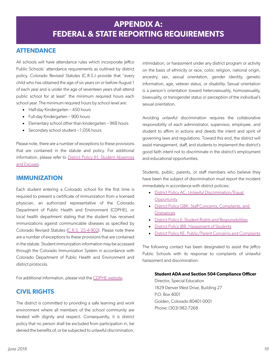### <span id="page-20-0"></span>**ATTENDANCE**

All schools will have attendance rules which incorporate Jeffco Public Schools' attendance requirements as outlined by district policy. Colorado Revised Statutes (C.R.S.) provide that "every child who has obtained the age of six years on or before August 1 of each year and is under the age of seventeen years shall attend public school for at least" the minimum required hours each school year. The minimum required hours by school level are:

- Half-day Kindergarten 450 hours
- Full-day Kindergarten 900 hours
- Elementary school other than kindergarten 968 hours
- Secondary school student 1,056 hours

Please note, there are a number of exceptions to these provisions that are contained in the statute and policy. For additional information, please refer to District Policy |H, Student Absences [and Excuses.](http://www.boarddocs.com/co/jeffco/Board.nsf/goto?open&id=87CU645E4B2A)

### **IMMUNIZATION**

Each student entering a Colorado school for the first time is required to present a certificate of immunization from a licensed physician, an authorized representative of the Colorado Department of Public Health and Environment (CDPHE), or local health department stating that the student has received immunizations against communicable diseases as specified by Colorado Revised Statutes ([C.R.S. 25-4-902](http://www.lexisnexis.com/hottopics/colorado?app=00075&view=full&interface=1&docinfo=off&searchtype=get&search=C.R.S.+25-4-902)). Please note there are a number of exceptions to these provisions that are contained in the statute. Student immunization information may be accessed through the Colorado Immunization System in accordance with Colorado Department of Public Health and Environment and district protocols.

For additional information, please visit the [CDPHE website](https://www.colorado.gov/pacific/cdphe/categories/services-and-information/health/prevention-and-wellness/immunization).

### **CIVIL RIGHTS**

The district is committed to providing a safe learning and work environment where all members of the school community are treated with dignity and respect. Consequently, it is district policy that no person shall be excluded from participation in, be denied the benefits of, or be subjected to unlawful discrimination, <span id="page-20-1"></span>intimidation, or harassment under any district program or activity on the basis of ethnicity or race, color, religion, national origin, ancestry, sex, sexual orientation, gender identity, genetic information, age, veteran status, or disability. Sexual orientation is a person's orientation toward heterosexuality, homosexuality, bisexuality, or transgender status or perception of the individual's sexual orientation.

Avoiding unlawful discrimination requires the collaborative responsibility of each administrator, supervisor, employee, and student to affirm in actions and deeds the intent and spirit of governing laws and regulations. Toward this end, the district will assist management, staff, and students to implement the district's good faith intent not to discriminate in the district's employment and educational opportunities.

Students, public, parents, or staff members who believe they have been the subject of discrimination must report the incident immediately in accordance with district policies:

- [District Policy AC, Unlawful Discrimination/Equal](http://www.boarddocs.com/co/jeffco/Board.nsf/goto?open&id=87CTXG5E3FFB)  **[Opportunity](http://www.boarddocs.com/co/jeffco/Board.nsf/goto?open&id=87CTXG5E3FFB)**
- [District Policy GBK, Staff Concerns, Complaints, and](http://www.boarddocs.com/co/jeffco/Board.nsf/goto?open&id=87CU3B5E4607)  **[Grievances](http://www.boarddocs.com/co/jeffco/Board.nsf/goto?open&id=87CU3B5E4607)**
- [District Policy JI, Student Rights and Responsibilities](http://www.boarddocs.com/co/jeffco/Board.nsf/goto?open&id=87CU675E4B51)
- District Policy (BB, Harassment of Students
- [District Policy KE, Public/Parent Concerns and Complaints](http://www.boarddocs.com/co/jeffco/Board.nsf/goto?open&id=87CU7N5E4DBF)

The following contact has been designated to assist the Jeffco Public Schools with its response to complaints of unlawful harassment and discrimination:

#### **Student ADA and Section 504 Compliance Officer**

Director, Special Education 1829 Denver West Drive, Building 27 P.O. Box 4001 Golden, Colorado 80401-0001 Phone: (303) 982-7268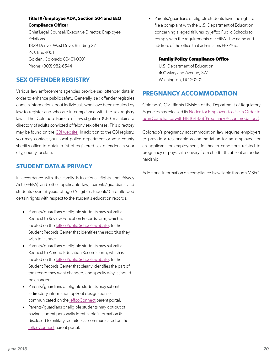### <span id="page-21-0"></span>**Title IX/Employee ADA, Section 504 and EEO Compliance Officer**

Chief Legal Counsel/Executive Director, Employee Relations 1829 Denver West Drive, Building 27 P.O. Box 4001 Golden, Colorado 80401-0001 Phone: (303) 982-6544

### **SEX OFFENDER REGISTRY**

Various law enforcement agencies provide sex offender data in order to enhance public safety. Generally, sex offender registries contain information about individuals who have been required by law to register and who are in compliance with the sex registry laws. The Colorado Bureau of Investigation (CBI) maintains a directory of adults convicted of felony sex offenses. This directory may be found on the [CBI website](https://www.colorado.gov/apps/cdps/sor/index.jsf). In addition to the CBI registry, you may contact your local police department or your county sheriff's office to obtain a list of registered sex offenders in your city, county, or state.

### **STUDENT DATA & PRIVACY**

In accordance with the Family Educational Rights and Privacy Act (FERPA) and other applicable law, parents/guardians and students over 18 years of age ("eligible students") are afforded certain rights with respect to the student's education records.

- Parents/guardians or eligible students may submit a Request to Review Education Records form, which is located on the [Jeffco Public Schools website](http://www.jeffcopublicschools.org/academics/student_records_transcripts), to the Student Records Center that identifies the record(s) they wish to inspect.
- Parents/guardians or eligible students may submit a Request to Amend Education Records form, which is located on the *effco Public Schools website*, to the Student Records Center that clearly identifies the part of the record they want changed, and specify why it should be changed.
- Parents/guardians or eligible students may submit a directory information opt-out designation as communicated on the [JeffcoConnect](https://jeffcoconnect.jeffco.k12.co.us/) parent portal.
- Parents/guardians or eligible students may opt-out of having student personally identifiable information (PII) disclosed to military recruiters as communicated on the [JeffcoConnect](https://jeffcoconnect.jeffco.k12.co.us/) parent portal.

• Parents/guardians or eligible students have the right to file a complaint with the U.S. Department of Education concerning alleged failures by Jeffco Public Schools to comply with the requirements of FERPA. The name and address of the office that administers FERPA is:

#### **Family Policy Compliance Office**

U.S. Department of Education 400 Maryland Avenue, SW Washington, DC 20202

### **PREGNANCY ACCOMMODATION**

Colorado's Civil Rights Division of the Department of Regulatory Agencies has released its [Notice for Employers to Use in Order to](https://www.colorado.gov/pacific/dora/civil-rights/what-we-do) [be in Compliance with HB 16-1438 \(Pregnancy Accommodations\)](https://www.colorado.gov/pacific/dora/civil-rights/what-we-do).

Colorado's pregnancy accommodation law requires employers to provide a reasonable accommodation for an employee, or an applicant for employment, for health conditions related to pregnancy or physical recovery from childbirth, absent an undue hardship.

Additional information on compliance is available through MSEC.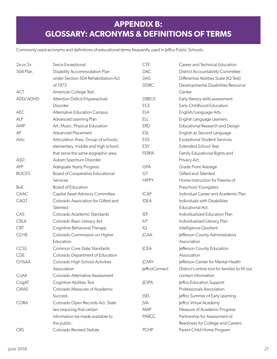# <span id="page-22-0"></span>**APPENDIX B: GLOSSARY: ACRONYMS & DEFINITIONS OF TERMS**

Commonly used acronyms and definitions of educational terms frequently used in Jeffco Public Schools.

| 2e or 2x        | <b>Twice Exceptional</b>             | <b>CTE</b>     | Career and Technical Education                  |
|-----------------|--------------------------------------|----------------|-------------------------------------------------|
| <b>504 Plan</b> | Disability Accommodation Plan        | <b>DAC</b>     | <b>District Accountability Committee</b>        |
|                 | under Section 504 Rehabilitation Act | DAS            | Differential Abilities Scale (IQ Test)          |
|                 | of 1973                              | <b>DDRC</b>    | Developmental Disabilities Resource             |
| <b>ACT</b>      | American College Test                |                | Center                                          |
| ADD/ADHD        | Attention Deficit (Hyperactive)      | <b>DIBELS</b>  | Early literacy skills assessment                |
|                 | Disorder                             | ECE            | Early Childhood Education                       |
| AEC             | Alternative Education Campus         | <b>ELA</b>     | English/Language Arts                           |
| <b>ALP</b>      | Advanced Learning Plan               | <b>ELL</b>     | English Language Learners                       |
| AMP             | Art, Music, Physical Education       | <b>ERD</b>     | Educational Research and Design                 |
| AP              | <b>Advanced Placement</b>            | ESL            | English as Second Language                      |
| Artic           | Articulation Area. Group of schools; | ESS            | <b>Exceptional Student Services</b>             |
|                 | elementary, middle and high school,  | <b>ESY</b>     | Extended School Year                            |
|                 | that serve the same eographic area.  | <b>FERPA</b>   | Family Educational Rights and                   |
| <b>ASD</b>      | Autism Spectrum Disorder             |                | Privacy Act                                     |
| AYP             | Adequate Yearly Progress             | <b>GPA</b>     | Grade Point Average                             |
| <b>BOCES</b>    | Board of Cooperative Educational     | GT             | Gifted and Talented                             |
|                 | Services                             | <b>HIPPY</b>   | Home Instruction for Parents of                 |
| <b>BoE</b>      | Board of Education                   |                | Preschool Youngsters                            |
| CAAC            | Capital Asset Advisory Committee     | <b>ICAP</b>    | Individual Career and Academic Plan             |
| CAGT            | Colorado Association for Gifted and  | <b>IDEA</b>    | Individuals with Disabilities                   |
|                 | Talented                             |                | <b>Educational Act</b>                          |
| CAS             | Colorado Academic Standards          | <b>IEP</b>     | Individualized Education Plan                   |
| <b>CBLA</b>     | Colorado Basic Literacy Act          | <b>ILP</b>     | Individualized Literacy Plan                    |
| <b>CBT</b>      | Cognitive Behavioral Therapy         | $\overline{Q}$ | Intelligence Quotient                           |
| <b>CCHE</b>     | Colorado Commission on Higher        | <b>JCAA</b>    | Jefferson County Administrators                 |
|                 | Education                            |                | Association                                     |
| CCSS            | Common Core State Standards          | <b>JCEA</b>    | Jefferson County Education                      |
| <b>CDE</b>      | Colorado Department of Education     |                | Association                                     |
| <b>CHSAA</b>    | Colorado High School Activities      | <b>JCMH</b>    | Jefferson Center for Mental Health              |
|                 | Association                          | JeffcoConnect  | District's online tool for families to fill out |
| CoAlt           | Colorado Alternative Assessment      |                | contact information                             |
| CogAT           | Cognitive Abilities Test             | <b>JESPA</b>   | Jeffco Education Support                        |
| <b>CMAS</b>     | Colorado Measures of Academic        |                | Professionals Association                       |
|                 | <b>Success</b>                       | <b>JSEL</b>    | Jeffco Summer of Early Learning                 |
| <b>CORA</b>     | Colorado Open Records Act. State     | <b>JVA</b>     | Jeffco Virtual Academy                          |
|                 | law requiring that certain           | <b>MAP</b>     | Measure of Academic Progress                    |
|                 | information be made available to     | <b>PARCC</b>   | Partnership for Assessment of                   |
|                 | the public.                          |                | Readiness for College and Careers               |
| <b>CRS</b>      | Colorado Revised Statute             | <b>PCHP</b>    | Parent Child Home Program                       |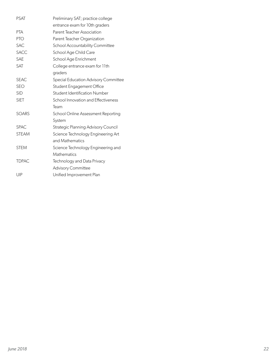| <b>PSAT</b>  | Preliminary SAT; practice college          |
|--------------|--------------------------------------------|
|              | entrance exam for 10th graders             |
| <b>PTA</b>   | Parent Teacher Association                 |
| <b>PTO</b>   | Parent Teacher Organization                |
| <b>SAC</b>   | School Accountability Committee            |
| <b>SACC</b>  | School Age Child Care                      |
| <b>SAE</b>   | School Age Enrichment                      |
| SAT          | College entrance exam for 11th             |
|              | graders                                    |
| <b>SEAC</b>  | Special Education Advisory Committee       |
| <b>SEO</b>   | Student Engagement Office                  |
| <b>SID</b>   | Student Identification Number              |
| <b>SIET</b>  | School Innovation and Effectiveness        |
|              | Team                                       |
| <b>SOARS</b> | School Online Assessment Reporting         |
|              | System                                     |
| <b>SPAC</b>  | <b>Strategic Planning Advisory Council</b> |
| <b>STEAM</b> | Science Technology Engineering Art         |
|              | and Mathematics                            |
| <b>STEM</b>  | Science Technology Engineering and         |
|              | Mathematics                                |
| <b>TDPAC</b> | Technology and Data Privacy                |
|              | <b>Advisory Committee</b>                  |
| UIP          | Unified Improvement Plan                   |
|              |                                            |